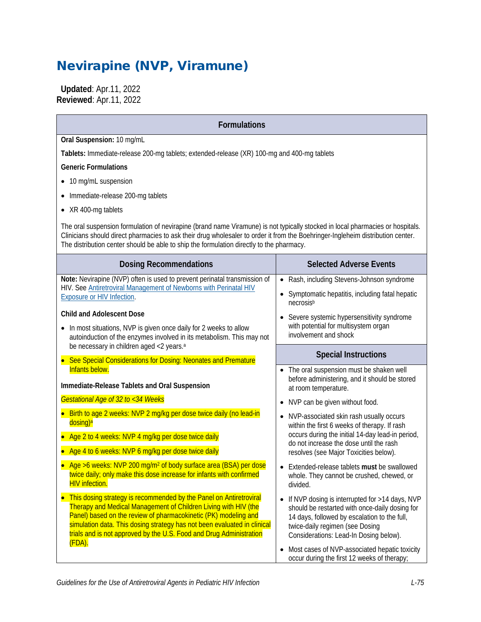# Nevirapine (NVP, Viramune)

 **Updated**: Apr.11, 2022 **Reviewed**: Apr.11, 2022

| <b>Formulations</b>                                                                                                                                                                                                                                                                                                                                           |                                                                                                                                                                                        |
|---------------------------------------------------------------------------------------------------------------------------------------------------------------------------------------------------------------------------------------------------------------------------------------------------------------------------------------------------------------|----------------------------------------------------------------------------------------------------------------------------------------------------------------------------------------|
| Oral Suspension: 10 mg/mL                                                                                                                                                                                                                                                                                                                                     |                                                                                                                                                                                        |
| Tablets: Immediate-release 200-mg tablets; extended-release (XR) 100-mg and 400-mg tablets                                                                                                                                                                                                                                                                    |                                                                                                                                                                                        |
| <b>Generic Formulations</b>                                                                                                                                                                                                                                                                                                                                   |                                                                                                                                                                                        |
| • 10 mg/mL suspension                                                                                                                                                                                                                                                                                                                                         |                                                                                                                                                                                        |
| Immediate-release 200-mg tablets                                                                                                                                                                                                                                                                                                                              |                                                                                                                                                                                        |
| • XR 400-mg tablets                                                                                                                                                                                                                                                                                                                                           |                                                                                                                                                                                        |
| The oral suspension formulation of nevirapine (brand name Viramune) is not typically stocked in local pharmacies or hospitals.<br>Clinicians should direct pharmacies to ask their drug wholesaler to order it from the Boehringer-Ingleheim distribution center.<br>The distribution center should be able to ship the formulation directly to the pharmacy. |                                                                                                                                                                                        |
| <b>Dosing Recommendations</b>                                                                                                                                                                                                                                                                                                                                 | <b>Selected Adverse Events</b>                                                                                                                                                         |
| Note: Nevirapine (NVP) often is used to prevent perinatal transmission of                                                                                                                                                                                                                                                                                     | Rash, including Stevens-Johnson syndrome<br>$\bullet$                                                                                                                                  |
| HIV. See Antiretroviral Management of Newborns with Perinatal HIV<br><b>Exposure or HIV Infection.</b>                                                                                                                                                                                                                                                        | Symptomatic hepatitis, including fatal hepatic<br>necrosis <sup>b</sup>                                                                                                                |
| <b>Child and Adolescent Dose</b>                                                                                                                                                                                                                                                                                                                              | Severe systemic hypersensitivity syndrome                                                                                                                                              |
| In most situations, NVP is given once daily for 2 weeks to allow                                                                                                                                                                                                                                                                                              | with potential for multisystem organ<br>involvement and shock                                                                                                                          |
| autoinduction of the enzymes involved in its metabolism. This may not<br>be necessary in children aged <2 years. <sup>a</sup>                                                                                                                                                                                                                                 |                                                                                                                                                                                        |
| • See Special Considerations for Dosing: Neonates and Premature                                                                                                                                                                                                                                                                                               | <b>Special Instructions</b>                                                                                                                                                            |
| Infants below.                                                                                                                                                                                                                                                                                                                                                | The oral suspension must be shaken well                                                                                                                                                |
| Immediate-Release Tablets and Oral Suspension                                                                                                                                                                                                                                                                                                                 | before administering, and it should be stored<br>at room temperature.                                                                                                                  |
| Gestational Age of 32 to <34 Weeks                                                                                                                                                                                                                                                                                                                            | NVP can be given without food.<br>$\bullet$                                                                                                                                            |
| • Birth to age 2 weeks: NVP 2 mg/kg per dose twice daily (no lead-in                                                                                                                                                                                                                                                                                          | NVP-associated skin rash usually occurs<br>within the first 6 weeks of therapy. If rash<br>occurs during the initial 14-day lead-in period,<br>do not increase the dose until the rash |
| dosing) <sup>a</sup>                                                                                                                                                                                                                                                                                                                                          |                                                                                                                                                                                        |
| • Age 2 to 4 weeks: NVP 4 mg/kg per dose twice daily                                                                                                                                                                                                                                                                                                          |                                                                                                                                                                                        |
| • Age 4 to 6 weeks: NVP 6 mg/kg per dose twice daily                                                                                                                                                                                                                                                                                                          | resolves (see Major Toxicities below).                                                                                                                                                 |
| Age $>6$ weeks: NVP 200 mg/m <sup>2</sup> of body surface area (BSA) per dose<br>twice daily; only make this dose increase for infants with confirmed                                                                                                                                                                                                         | Extended-release tablets must be swallowed<br>whole. They cannot be crushed, chewed, or                                                                                                |
| <b>HIV</b> infection.                                                                                                                                                                                                                                                                                                                                         | divided.                                                                                                                                                                               |
| This dosing strategy is recommended by the Panel on Antiretroviral<br>Therapy and Medical Management of Children Living with HIV (the                                                                                                                                                                                                                         | If NVP dosing is interrupted for >14 days, NVP<br>$\bullet$<br>should be restarted with once-daily dosing for                                                                          |
| Panel) based on the review of pharmacokinetic (PK) modeling and<br>simulation data. This dosing strategy has not been evaluated in clinical                                                                                                                                                                                                                   | 14 days, followed by escalation to the full,                                                                                                                                           |
| trials and is not approved by the U.S. Food and Drug Administration                                                                                                                                                                                                                                                                                           | twice-daily regimen (see Dosing<br>Considerations: Lead-In Dosing below).                                                                                                              |
| $(FDA)$ .                                                                                                                                                                                                                                                                                                                                                     | Most cases of NVP-associated hepatic toxicity<br>$\bullet$                                                                                                                             |
|                                                                                                                                                                                                                                                                                                                                                               | occur during the first 12 weeks of therapy;                                                                                                                                            |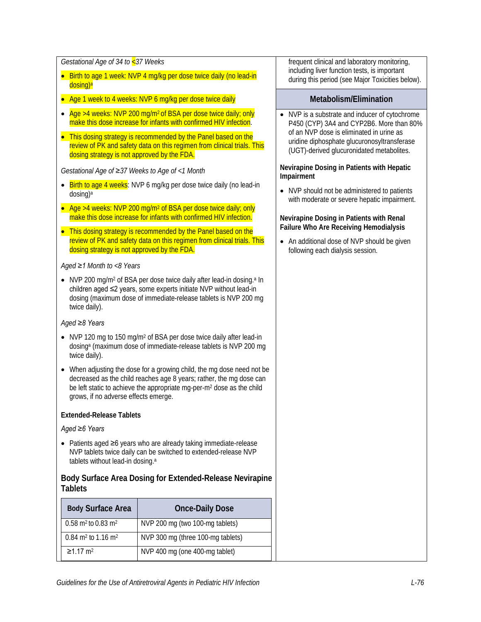*Gestational Age of 34 to <37 Weeks*

- Birth to age 1 week: NVP 4 mg/kg per dose twice daily (no lead-in dosing)a
- Age 1 week to 4 weeks: NVP 6 mg/kg per dose twice daily
- Age  $>4$  weeks: NVP 200 mg/m<sup>2</sup> of BSA per dose twice daily; only make this dose increase for infants with confirmed HIV infection.
- This dosing strategy is recommended by the Panel based on the review of PK and safety data on this regimen from clinical trials. This dosing strategy is not approved by the FDA.

*Gestational Age of ≥37 Weeks to Age of <1 Month*

- Birth to age 4 weeks: NVP 6 mg/kg per dose twice daily (no lead-in dosing)a
- Age >4 weeks: NVP 200 mg/m<sup>2</sup> of BSA per dose twice daily; only make this dose increase for infants with confirmed HIV infection.
- This dosing strategy is recommended by the Panel based on the review of PK and safety data on this regimen from clinical trials. This dosing strategy is not approved by the FDA.

#### *Aged ≥1 Month to <8 Years*

• NVP 200 mg/m<sup>2</sup> of BSA per dose twice daily after lead-in dosing.<sup>a</sup> In children aged ≤2 years, some experts initiate NVP without lead-in dosing (maximum dose of immediate-release tablets is NVP 200 mg twice daily).

*Aged ≥8 Years*

- NVP 120 mg to 150 mg/m<sup>2</sup> of BSA per dose twice daily after lead-in dosinga (maximum dose of immediate-release tablets is NVP 200 mg twice daily).
- When adjusting the dose for a growing child, the mg dose need not be decreased as the child reaches age 8 years; rather, the mg dose can be left static to achieve the appropriate mg-per-m2 dose as the child grows, if no adverse effects emerge.

#### **Extended-Release Tablets**

*Aged ≥6 Years*

• Patients aged ≥6 years who are already taking immediate-release NVP tablets twice daily can be switched to extended-release NVP tablets without lead-in dosing.<sup>a</sup>

### **Body Surface Area Dosing for Extended-Release Nevirapine Tablets**

| <b>Body Surface Area</b>                     | <b>Once-Daily Dose</b>            |
|----------------------------------------------|-----------------------------------|
| $0.58 \text{ m}^2$ to 0.83 m <sup>2</sup>    | NVP 200 mg (two 100-mg tablets)   |
| $0.84$ m <sup>2</sup> to 1.16 m <sup>2</sup> | NVP 300 mg (three 100-mg tablets) |
| $≥1.17$ m <sup>2</sup>                       | NVP 400 mg (one 400-mg tablet)    |

frequent clinical and laboratory monitoring, including liver function tests, is important during this period (see Major Toxicities below).

#### **Metabolism/Elimination**

• NVP is a substrate and inducer of cytochrome P450 (CYP) 3A4 and CYP2B6. More than 80% of an NVP dose is eliminated in urine as uridine diphosphate glucuronosyltransferase (UGT)-derived glucuronidated metabolites.

#### **Nevirapine Dosing in Patients with Hepatic Impairment**

• NVP should not be administered to patients with moderate or severe hepatic impairment.

#### **Nevirapine Dosing in Patients with Renal Failure Who Are Receiving Hemodialysis**

• An additional dose of NVP should be given following each dialysis session.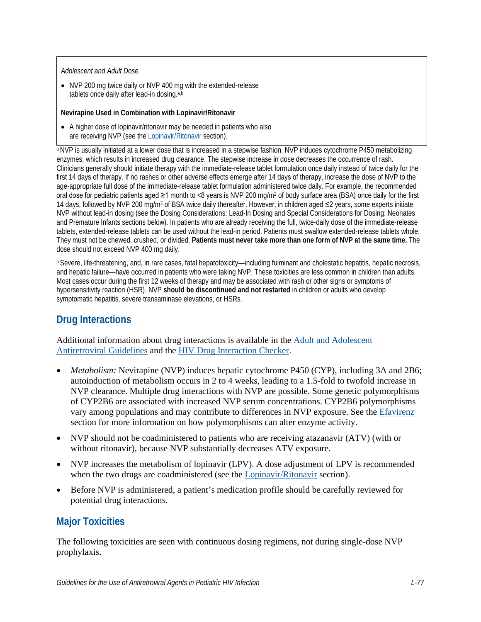| Adolescent and Adult Dose<br>NVP 200 mg twice daily or NVP 400 mg with the extended-release<br>tablets once daily after lead-in dosing.a,b |
|--------------------------------------------------------------------------------------------------------------------------------------------|
| Nevirapine Used in Combination with Lopinavir/Ritonavir                                                                                    |
| • A higher dose of lopinavir/ritonavir may be needed in patients who also<br>are receiving NVP (see the Lopinavir/Ritonavir section).      |

a NVP is usually initiated at a lower dose that is increased in a stepwise fashion. NVP induces cytochrome P450 metabolizing enzymes, which results in increased drug clearance. The stepwise increase in dose decreases the occurrence of rash. Clinicians generally should initiate therapy with the immediate-release tablet formulation once daily instead of twice daily for the first 14 days of therapy. If no rashes or other adverse effects emerge after 14 days of therapy, increase the dose of NVP to the age-appropriate full dose of the immediate-release tablet formulation administered twice daily. For example, the recommended oral dose for pediatric patients aged ≥1 month to <8 years is NVP 200 mg/m2 of body surface area (BSA) once daily for the first 14 days, followed by NVP 200 mg/m2 of BSA twice daily thereafter. However, in children aged ≤2 years, some experts initiate NVP without lead-in dosing (see the Dosing Considerations: Lead-In Dosing and Special Considerations for Dosing: Neonates and Premature Infants sections below). In patients who are already receiving the full, twice-daily dose of the immediate-release tablets, extended-release tablets can be used without the lead-in period. Patients must swallow extended-release tablets whole. They must not be chewed, crushed, or divided. **Patients must never take more than one form of NVP at the same time.** The dose should not exceed NVP 400 mg daily.

b Severe, life-threatening, and, in rare cases, fatal hepatotoxicity—including fulminant and cholestatic hepatitis, hepatic necrosis, and hepatic failure—have occurred in patients who were taking NVP. These toxicities are less common in children than adults. Most cases occur during the first 12 weeks of therapy and may be associated with rash or other signs or symptoms of hypersensitivity reaction (HSR). NVP **should be discontinued and not restarted** in children or adults who develop symptomatic hepatitis, severe transaminase elevations, or HSRs.

# **Drug Interactions**

Additional information about drug interactions is available in the [Adult and Adolescent](https://clinicalinfo.hiv.gov/en/guidelines/adult-and-adolescent-arv/whats-new-guidelines)  [Antiretroviral Guidelines](https://clinicalinfo.hiv.gov/en/guidelines/adult-and-adolescent-arv/whats-new-guidelines) and the [HIV Drug Interaction Checker.](http://www.hiv-druginteractions.org/)

- *Metabolism:* Nevirapine (NVP) induces hepatic cytochrome P450 (CYP), including 3A and 2B6; autoinduction of metabolism occurs in 2 to 4 weeks, leading to a 1.5-fold to twofold increase in NVP clearance. Multiple drug interactions with NVP are possible. Some genetic polymorphisms of CYP2B6 are associated with increased NVP serum concentrations. CYP2B6 polymorphisms vary among populations and may contribute to differences in NVP exposure. See the [Efavirenz](https://clinicalinfo.hiv.gov/en/guidelines/pediatric-arv/efavirenz)  section for more information on how polymorphisms can alter enzyme activity.
- NVP should not be coadministered to patients who are receiving atazanavir (ATV) (with or without ritonavir), because NVP substantially decreases ATV exposure.
- NVP increases the metabolism of lopinavir (LPV). A dose adjustment of LPV is recommended when the two drugs are coadministered (see the *Lopinavir/Ritonavir* section).
- Before NVP is administered, a patient's medication profile should be carefully reviewed for potential drug interactions.

## **Major Toxicities**

The following toxicities are seen with continuous dosing regimens, not during single-dose NVP prophylaxis.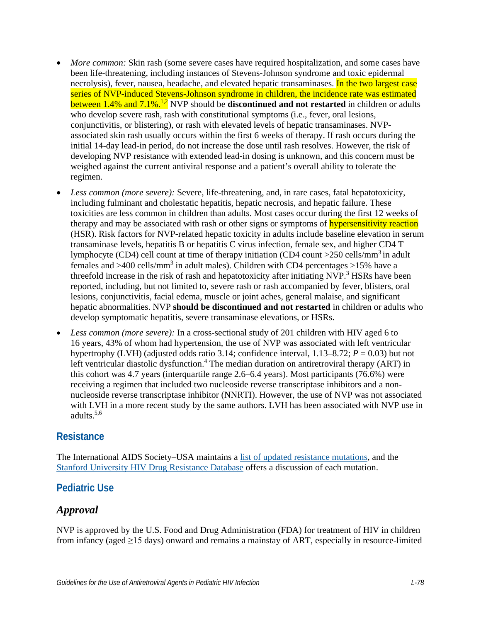- *More common:* Skin rash (some severe cases have required hospitalization, and some cases have been life-threatening, including instances of Stevens-Johnson syndrome and toxic epidermal necrolysis), fever, nausea, headache, and elevated hepatic transaminases. In the two largest case series of NVP-induced Stevens-Johnson syndrome in children, the incidence rate was estimated between 1.4% and 7.1%.<sup>1,2</sup> NVP should be **discontinued and not restarted** in children or adults who develop severe rash, rash with constitutional symptoms (i.e., fever, oral lesions, conjunctivitis, or blistering), or rash with elevated levels of hepatic transaminases. NVPassociated skin rash usually occurs within the first 6 weeks of therapy. If rash occurs during the initial 14-day lead-in period, do not increase the dose until rash resolves. However, the risk of developing NVP resistance with extended lead-in dosing is unknown, and this concern must be weighed against the current antiviral response and a patient's overall ability to tolerate the regimen.
- *Less common (more severe):* Severe, life-threatening, and, in rare cases, fatal hepatotoxicity, including fulminant and cholestatic hepatitis, hepatic necrosis, and hepatic failure. These toxicities are less common in children than adults. Most cases occur during the first 12 weeks of therapy and may be associated with rash or other signs or symptoms of **hypersensitivity reaction** (HSR). Risk factors for NVP-related hepatic toxicity in adults include baseline elevation in serum transaminase levels, hepatitis B or hepatitis C virus infection, female sex, and higher CD4 T lymphocyte (CD4) cell count at time of therapy initiation (CD4 count  $>250$  cells/mm<sup>3</sup> in adult females and  $>400$  cells/mm<sup>3</sup> in adult males). Children with CD4 percentages  $>15\%$  have a threefold increase in the risk of rash and hepatotoxicity after initiating  $NVP<sup>3</sup>$  HSRs have been reported, including, but not limited to, severe rash or rash accompanied by fever, blisters, oral lesions, conjunctivitis, facial edema, muscle or joint aches, general malaise, and significant hepatic abnormalities. NVP **should be discontinued and not restarted** in children or adults who develop symptomatic hepatitis, severe transaminase elevations, or HSRs.
- *Less common (more severe):* In a cross-sectional study of 201 children with HIV aged 6 to 16 years, 43% of whom had hypertension, the use of NVP was associated with left ventricular hypertrophy (LVH) (adjusted odds ratio 3.14; confidence interval,  $1.13-8.72$ ;  $P = 0.03$ ) but not left ventricular diastolic dysfunction.<sup>4</sup> The median duration on antiretroviral therapy (ART) in this cohort was 4.7 years (interquartile range 2.6–6.4 years). Most participants (76.6%) were receiving a regimen that included two nucleoside reverse transcriptase inhibitors and a nonnucleoside reverse transcriptase inhibitor (NNRTI). However, the use of NVP was not associated with LVH in a more recent study by the same authors. LVH has been associated with NVP use in adults.5,6

### **Resistance**

The International AIDS Society–USA maintains a [list of updated resistance mutations,](https://www.iasusa.org/resources/hiv-drug-resistance-mutations/) and the [Stanford University HIV Drug Resistance Database](http://hivdb.stanford.edu/DR) offers a discussion of each mutation.

### **Pediatric Use**

### *Approval*

NVP is approved by the U.S. Food and Drug Administration (FDA) for treatment of HIV in children from infancy (aged  $\geq$ 15 days) onward and remains a mainstay of ART, especially in resource-limited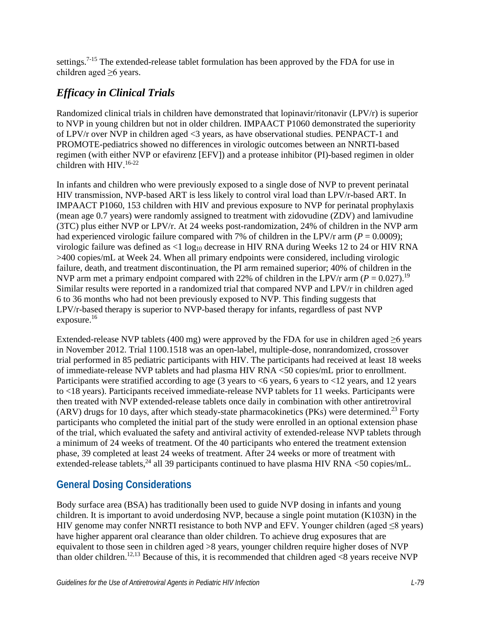settings.<sup>7-15</sup> The extended-release tablet formulation has been approved by the FDA for use in children aged  $\geq 6$  years.

# *Efficacy in Clinical Trials*

Randomized clinical trials in children have demonstrated that lopinavir/ritonavir (LPV/r) is superior to NVP in young children but not in older children. IMPAACT P1060 demonstrated the superiority of LPV/r over NVP in children aged <3 years, as have observational studies. PENPACT-1 and PROMOTE-pediatrics showed no differences in virologic outcomes between an NNRTI-based regimen (with either NVP or efavirenz [EFV]) and a protease inhibitor (PI)-based regimen in older children with  $HIV.<sup>16-22</sup>$ 

In infants and children who were previously exposed to a single dose of NVP to prevent perinatal HIV transmission, NVP-based ART is less likely to control viral load than LPV/r-based ART. In IMPAACT P1060, 153 children with HIV and previous exposure to NVP for perinatal prophylaxis (mean age 0.7 years) were randomly assigned to treatment with zidovudine (ZDV) and lamivudine (3TC) plus either NVP or LPV/r. At 24 weeks post-randomization, 24% of children in the NVP arm had experienced virologic failure compared with 7% of children in the LPV/r arm  $(P = 0.0009)$ ; virologic failure was defined as  $\leq 1 \log_{10}$  decrease in HIV RNA during Weeks 12 to 24 or HIV RNA >400 copies/mL at Week 24. When all primary endpoints were considered, including virologic failure, death, and treatment discontinuation, the PI arm remained superior; 40% of children in the NVP arm met a primary endpoint compared with 22% of children in the LPV/r arm  $(P = 0.027)$ .<sup>19</sup> Similar results were reported in a randomized trial that compared NVP and LPV/r in children aged 6 to 36 months who had not been previously exposed to NVP. This finding suggests that LPV/r-based therapy is superior to NVP-based therapy for infants, regardless of past NVP exposure.<sup>16</sup>

Extended-release NVP tablets (400 mg) were approved by the FDA for use in children aged  $\geq 6$  years in November 2012. Trial 1100.1518 was an open-label, multiple-dose, nonrandomized, crossover trial performed in 85 pediatric participants with HIV. The participants had received at least 18 weeks of immediate-release NVP tablets and had plasma HIV RNA <50 copies/mL prior to enrollment. Participants were stratified according to age (3 years to  $< 6$  years, 6 years to  $< 12$  years, and 12 years to <18 years). Participants received immediate-release NVP tablets for 11 weeks. Participants were then treated with NVP extended-release tablets once daily in combination with other antiretroviral (ARV) drugs for 10 days, after which steady-state pharmacokinetics (PKs) were determined.<sup>23</sup> Forty participants who completed the initial part of the study were enrolled in an optional extension phase of the trial, which evaluated the safety and antiviral activity of extended-release NVP tablets through a minimum of 24 weeks of treatment. Of the 40 participants who entered the treatment extension phase, 39 completed at least 24 weeks of treatment. After 24 weeks or more of treatment with extended-release tablets,  $^{24}$  all 39 participants continued to have plasma HIV RNA <50 copies/mL.

# **General Dosing Considerations**

Body surface area (BSA) has traditionally been used to guide NVP dosing in infants and young children. It is important to avoid underdosing NVP, because a single point mutation (K103N) in the HIV genome may confer NNRTI resistance to both NVP and EFV. Younger children (aged  $\leq$ 8 years) have higher apparent oral clearance than older children. To achieve drug exposures that are equivalent to those seen in children aged >8 years, younger children require higher doses of NVP than older children.<sup>12,13</sup> Because of this, it is recommended that children aged  $\langle 8 \rangle$  years receive NVP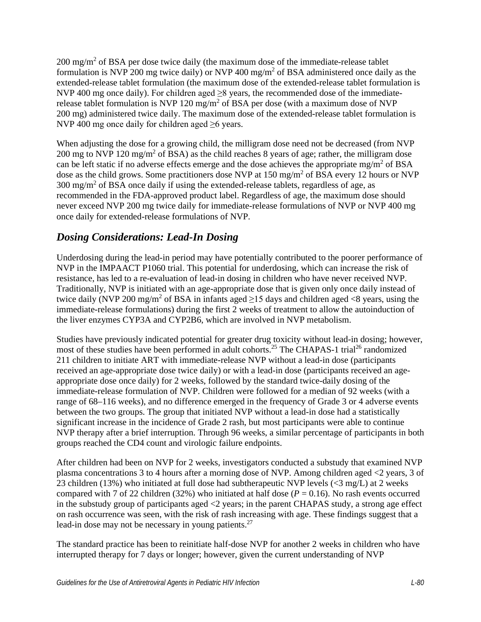$200 \text{ mg/m}^2$  of BSA per dose twice daily (the maximum dose of the immediate-release tablet formulation is NVP 200 mg twice daily) or NVP 400 mg/m<sup>2</sup> of BSA administered once daily as the extended-release tablet formulation (the maximum dose of the extended-release tablet formulation is NVP 400 mg once daily). For children aged  $\geq$ 8 years, the recommended dose of the immediaterelease tablet formulation is NVP 120 mg/m<sup>2</sup> of BSA per dose (with a maximum dose of NVP 200 mg) administered twice daily. The maximum dose of the extended-release tablet formulation is NVP 400 mg once daily for children aged  $\geq 6$  years.

When adjusting the dose for a growing child, the milligram dose need not be decreased (from NVP 200 mg to NVP 120 mg/m<sup>2</sup> of BSA) as the child reaches 8 years of age; rather, the milligram dose can be left static if no adverse effects emerge and the dose achieves the appropriate mg/m<sup>2</sup> of BSA dose as the child grows. Some practitioners dose NVP at  $150 \text{ mg/m}^2$  of BSA every 12 hours or NVP  $300 \text{ mg/m}^2$  of BSA once daily if using the extended-release tablets, regardless of age, as recommended in the FDA-approved product label. Regardless of age, the maximum dose should never exceed NVP 200 mg twice daily for immediate-release formulations of NVP or NVP 400 mg once daily for extended-release formulations of NVP.

# *Dosing Considerations: Lead-In Dosing*

Underdosing during the lead-in period may have potentially contributed to the poorer performance of NVP in the IMPAACT P1060 trial. This potential for underdosing, which can increase the risk of resistance, has led to a re-evaluation of lead-in dosing in children who have never received NVP. Traditionally, NVP is initiated with an age-appropriate dose that is given only once daily instead of twice daily (NVP 200 mg/m<sup>2</sup> of BSA in infants aged  $\geq$ 15 days and children aged <8 years, using the immediate-release formulations) during the first 2 weeks of treatment to allow the autoinduction of the liver enzymes CYP3A and CYP2B6, which are involved in NVP metabolism.

Studies have previously indicated potential for greater drug toxicity without lead-in dosing; however, most of these studies have been performed in adult cohorts.<sup>25</sup> The CHAPAS-1 trial<sup>26</sup> randomized 211 children to initiate ART with immediate-release NVP without a lead-in dose (participants received an age-appropriate dose twice daily) or with a lead-in dose (participants received an ageappropriate dose once daily) for 2 weeks, followed by the standard twice-daily dosing of the immediate-release formulation of NVP. Children were followed for a median of 92 weeks (with a range of 68–116 weeks), and no difference emerged in the frequency of Grade 3 or 4 adverse events between the two groups. The group that initiated NVP without a lead-in dose had a statistically significant increase in the incidence of Grade 2 rash, but most participants were able to continue NVP therapy after a brief interruption. Through 96 weeks, a similar percentage of participants in both groups reached the CD4 count and virologic failure endpoints.

After children had been on NVP for 2 weeks, investigators conducted a substudy that examined NVP plasma concentrations 3 to 4 hours after a morning dose of NVP. Among children aged <2 years, 3 of 23 children (13%) who initiated at full dose had subtherapeutic NVP levels (<3 mg/L) at 2 weeks compared with 7 of 22 children (32%) who initiated at half dose  $(P = 0.16)$ . No rash events occurred in the substudy group of participants aged <2 years; in the parent CHAPAS study, a strong age effect on rash occurrence was seen, with the risk of rash increasing with age. These findings suggest that a lead-in dose may not be necessary in young patients. $27$ 

The standard practice has been to reinitiate half-dose NVP for another 2 weeks in children who have interrupted therapy for 7 days or longer; however, given the current understanding of NVP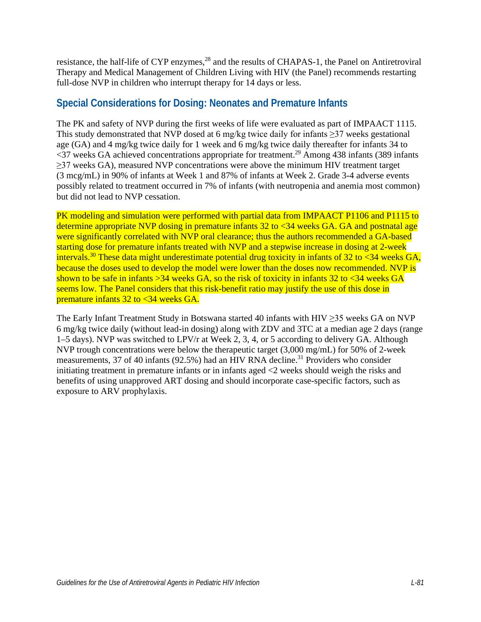resistance, the half-life of CYP enzymes,<sup>28</sup> and the results of CHAPAS-1, the Panel on Antiretroviral Therapy and Medical Management of Children Living with HIV (the Panel) recommends restarting full-dose NVP in children who interrupt therapy for 14 days or less.

### **Special Considerations for Dosing: Neonates and Premature Infants**

The PK and safety of NVP during the first weeks of life were evaluated as part of IMPAACT 1115. This study demonstrated that NVP dosed at 6 mg/kg twice daily for infants  $\geq$ 37 weeks gestational age (GA) and 4 mg/kg twice daily for 1 week and 6 mg/kg twice daily thereafter for infants 34 to  $\langle$ 37 weeks GA achieved concentrations appropriate for treatment.<sup>29</sup> Among 438 infants (389 infants) ≥37 weeks GA), measured NVP concentrations were above the minimum HIV treatment target (3 mcg/mL) in 90% of infants at Week 1 and 87% of infants at Week 2. Grade 3-4 adverse events possibly related to treatment occurred in 7% of infants (with neutropenia and anemia most common) but did not lead to NVP cessation.

PK modeling and simulation were performed with partial data from IMPAACT P1106 and P1115 to determine appropriate NVP dosing in premature infants 32 to <34 weeks GA. GA and postnatal age were significantly correlated with NVP oral clearance; thus the authors recommended a GA-based starting dose for premature infants treated with NVP and a stepwise increase in dosing at 2-week intervals.<sup>30</sup> These data might underestimate potential drug toxicity in infants of 32 to <34 weeks GA, because the doses used to develop the model were lower than the doses now recommended. NVP is shown to be safe in infants  $>34$  weeks GA, so the risk of toxicity in infants 32 to  $<$ 34 weeks GA seems low. The Panel considers that this risk-benefit ratio may justify the use of this dose in premature infants 32 to <34 weeks GA.

The Early Infant Treatment Study in Botswana started 40 infants with HIV  $\geq$ 35 weeks GA on NVP 6 mg/kg twice daily (without lead-in dosing) along with ZDV and 3TC at a median age 2 days (range 1–5 days). NVP was switched to LPV/r at Week 2, 3, 4, or 5 according to delivery GA. Although NVP trough concentrations were below the therapeutic target (3,000 mg/mL) for 50% of 2-week measurements, 37 of 40 infants (92.5%) had an HIV RNA decline.<sup>31</sup> Providers who consider initiating treatment in premature infants or in infants aged <2 weeks should weigh the risks and benefits of using unapproved ART dosing and should incorporate case-specific factors, such as exposure to ARV prophylaxis.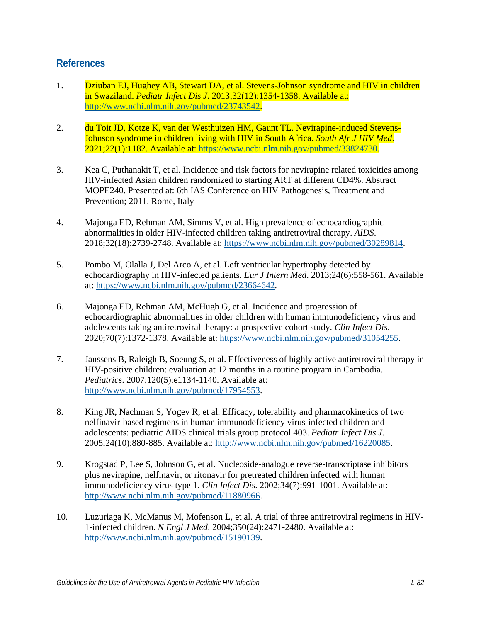### **References**

- 1. Dziuban EJ, Hughey AB, Stewart DA, et al. Stevens-Johnson syndrome and HIV in children in Swaziland. *Pediatr Infect Dis J*. 2013;32(12):1354-1358. Available at: [http://www.ncbi.nlm.nih.gov/pubmed/23743542.](http://www.ncbi.nlm.nih.gov/pubmed/23743542)
- 2. du Toit JD, Kotze K, van der Westhuizen HM, Gaunt TL. Nevirapine-induced Stevens-Johnson syndrome in children living with HIV in South Africa. *South Afr J HIV Med*. 2021;22(1):1182. Available at: [https://www.ncbi.nlm.nih.gov/pubmed/33824730.](https://www.ncbi.nlm.nih.gov/pubmed/33824730)
- 3. Kea C, Puthanakit T, et al. Incidence and risk factors for nevirapine related toxicities among HIV-infected Asian children randomized to starting ART at different CD4%. Abstract MOPE240. Presented at: 6th IAS Conference on HIV Pathogenesis, Treatment and Prevention; 2011. Rome, Italy
- 4. Majonga ED, Rehman AM, Simms V, et al. High prevalence of echocardiographic abnormalities in older HIV-infected children taking antiretroviral therapy. *AIDS*. 2018;32(18):2739-2748. Available at: [https://www.ncbi.nlm.nih.gov/pubmed/30289814.](https://www.ncbi.nlm.nih.gov/pubmed/30289814)
- 5. Pombo M, Olalla J, Del Arco A, et al. Left ventricular hypertrophy detected by echocardiography in HIV-infected patients. *Eur J Intern Med*. 2013;24(6):558-561. Available at: [https://www.ncbi.nlm.nih.gov/pubmed/23664642.](https://www.ncbi.nlm.nih.gov/pubmed/23664642)
- 6. Majonga ED, Rehman AM, McHugh G, et al. Incidence and progression of echocardiographic abnormalities in older children with human immunodeficiency virus and adolescents taking antiretroviral therapy: a prospective cohort study. *Clin Infect Dis*. 2020;70(7):1372-1378. Available at: [https://www.ncbi.nlm.nih.gov/pubmed/31054255.](https://www.ncbi.nlm.nih.gov/pubmed/31054255)
- 7. Janssens B, Raleigh B, Soeung S, et al. Effectiveness of highly active antiretroviral therapy in HIV-positive children: evaluation at 12 months in a routine program in Cambodia. *Pediatrics*. 2007;120(5):e1134-1140. Available at: [http://www.ncbi.nlm.nih.gov/pubmed/17954553.](http://www.ncbi.nlm.nih.gov/pubmed/17954553)
- 8. King JR, Nachman S, Yogev R, et al. Efficacy, tolerability and pharmacokinetics of two nelfinavir-based regimens in human immunodeficiency virus-infected children and adolescents: pediatric AIDS clinical trials group protocol 403. *Pediatr Infect Dis J*. 2005;24(10):880-885. Available at: [http://www.ncbi.nlm.nih.gov/pubmed/16220085.](http://www.ncbi.nlm.nih.gov/pubmed/16220085)
- 9. Krogstad P, Lee S, Johnson G, et al. Nucleoside-analogue reverse-transcriptase inhibitors plus nevirapine, nelfinavir, or ritonavir for pretreated children infected with human immunodeficiency virus type 1. *Clin Infect Dis*. 2002;34(7):991-1001. Available at: [http://www.ncbi.nlm.nih.gov/pubmed/11880966.](http://www.ncbi.nlm.nih.gov/pubmed/11880966)
- 10. Luzuriaga K, McManus M, Mofenson L, et al. A trial of three antiretroviral regimens in HIV-1-infected children. *N Engl J Med*. 2004;350(24):2471-2480. Available at: [http://www.ncbi.nlm.nih.gov/pubmed/15190139.](http://www.ncbi.nlm.nih.gov/pubmed/15190139)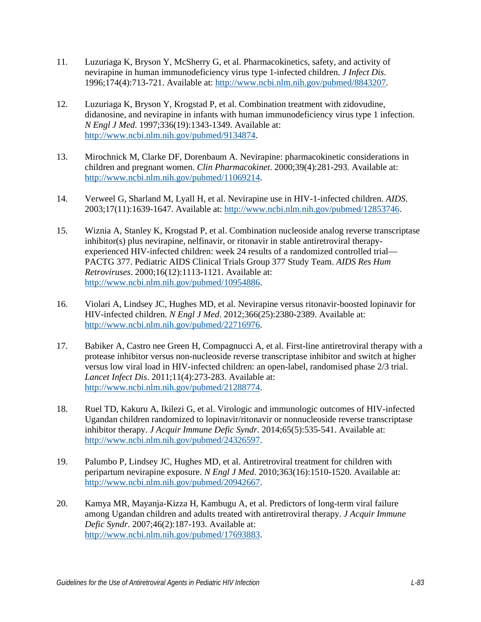- 11. Luzuriaga K, Bryson Y, McSherry G, et al. Pharmacokinetics, safety, and activity of nevirapine in human immunodeficiency virus type 1-infected children. *J Infect Dis*. 1996;174(4):713-721. Available at: [http://www.ncbi.nlm.nih.gov/pubmed/8843207.](http://www.ncbi.nlm.nih.gov/pubmed/8843207)
- 12. Luzuriaga K, Bryson Y, Krogstad P, et al. Combination treatment with zidovudine, didanosine, and nevirapine in infants with human immunodeficiency virus type 1 infection. *N Engl J Med*. 1997;336(19):1343-1349. Available at: [http://www.ncbi.nlm.nih.gov/pubmed/9134874.](http://www.ncbi.nlm.nih.gov/pubmed/9134874)
- 13. Mirochnick M, Clarke DF, Dorenbaum A. Nevirapine: pharmacokinetic considerations in children and pregnant women. *Clin Pharmacokinet*. 2000;39(4):281-293. Available at: [http://www.ncbi.nlm.nih.gov/pubmed/11069214.](http://www.ncbi.nlm.nih.gov/pubmed/11069214)
- 14. Verweel G, Sharland M, Lyall H, et al. Nevirapine use in HIV-1-infected children. *AIDS*. 2003;17(11):1639-1647. Available at: [http://www.ncbi.nlm.nih.gov/pubmed/12853746.](http://www.ncbi.nlm.nih.gov/pubmed/12853746)
- 15. Wiznia A, Stanley K, Krogstad P, et al. Combination nucleoside analog reverse transcriptase inhibitor(s) plus nevirapine, nelfinavir, or ritonavir in stable antiretroviral therapyexperienced HIV-infected children: week 24 results of a randomized controlled trial— PACTG 377. Pediatric AIDS Clinical Trials Group 377 Study Team. *AIDS Res Hum Retroviruses*. 2000;16(12):1113-1121. Available at: [http://www.ncbi.nlm.nih.gov/pubmed/10954886.](http://www.ncbi.nlm.nih.gov/pubmed/10954886)
- 16. Violari A, Lindsey JC, Hughes MD, et al. Nevirapine versus ritonavir-boosted lopinavir for HIV-infected children. *N Engl J Med*. 2012;366(25):2380-2389. Available at: [http://www.ncbi.nlm.nih.gov/pubmed/22716976.](http://www.ncbi.nlm.nih.gov/pubmed/22716976)
- 17. Babiker A, Castro nee Green H, Compagnucci A, et al. First-line antiretroviral therapy with a protease inhibitor versus non-nucleoside reverse transcriptase inhibitor and switch at higher versus low viral load in HIV-infected children: an open-label, randomised phase 2/3 trial. *Lancet Infect Dis*. 2011;11(4):273-283. Available at: [http://www.ncbi.nlm.nih.gov/pubmed/21288774.](http://www.ncbi.nlm.nih.gov/pubmed/21288774)
- 18. Ruel TD, Kakuru A, Ikilezi G, et al. Virologic and immunologic outcomes of HIV-infected Ugandan children randomized to lopinavir/ritonavir or nonnucleoside reverse transcriptase inhibitor therapy. *J Acquir Immune Defic Syndr*. 2014;65(5):535-541. Available at: [http://www.ncbi.nlm.nih.gov/pubmed/24326597.](http://www.ncbi.nlm.nih.gov/pubmed/24326597)
- 19. Palumbo P, Lindsey JC, Hughes MD, et al. Antiretroviral treatment for children with peripartum nevirapine exposure. *N Engl J Med*. 2010;363(16):1510-1520. Available at: [http://www.ncbi.nlm.nih.gov/pubmed/20942667.](http://www.ncbi.nlm.nih.gov/pubmed/20942667)
- 20. Kamya MR, Mayanja-Kizza H, Kambugu A, et al. Predictors of long-term viral failure among Ugandan children and adults treated with antiretroviral therapy. *J Acquir Immune Defic Syndr*. 2007;46(2):187-193. Available at: [http://www.ncbi.nlm.nih.gov/pubmed/17693883.](http://www.ncbi.nlm.nih.gov/pubmed/17693883)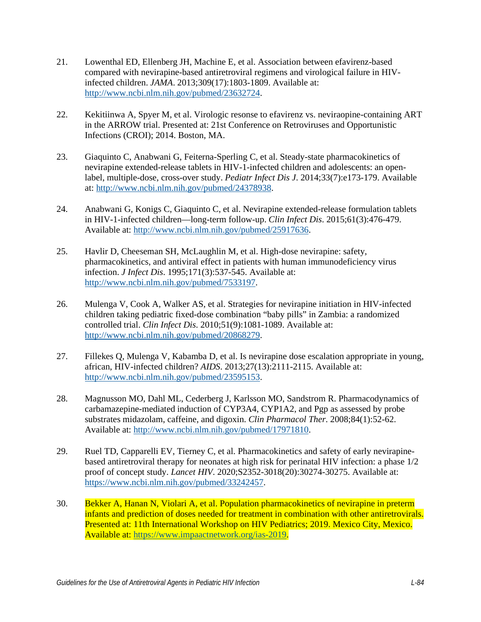- 21. Lowenthal ED, Ellenberg JH, Machine E, et al. Association between efavirenz-based compared with nevirapine-based antiretroviral regimens and virological failure in HIVinfected children. *JAMA*. 2013;309(17):1803-1809. Available at: [http://www.ncbi.nlm.nih.gov/pubmed/23632724.](http://www.ncbi.nlm.nih.gov/pubmed/23632724)
- 22. Kekitiinwa A, Spyer M, et al. Virologic resonse to efavirenz vs. neviraopine-containing ART in the ARROW trial. Presented at: 21st Conference on Retroviruses and Opportunistic Infections (CROI); 2014. Boston, MA.
- 23. Giaquinto C, Anabwani G, Feiterna-Sperling C, et al. Steady-state pharmacokinetics of nevirapine extended-release tablets in HIV-1-infected children and adolescents: an openlabel, multiple-dose, cross-over study. *Pediatr Infect Dis J*. 2014;33(7):e173-179. Available at: [http://www.ncbi.nlm.nih.gov/pubmed/24378938.](http://www.ncbi.nlm.nih.gov/pubmed/24378938)
- 24. Anabwani G, Konigs C, Giaquinto C, et al. Nevirapine extended-release formulation tablets in HIV-1-infected children—long-term follow-up. *Clin Infect Dis*. 2015;61(3):476-479. Available at: [http://www.ncbi.nlm.nih.gov/pubmed/25917636.](http://www.ncbi.nlm.nih.gov/pubmed/25917636)
- 25. Havlir D, Cheeseman SH, McLaughlin M, et al. High-dose nevirapine: safety, pharmacokinetics, and antiviral effect in patients with human immunodeficiency virus infection. *J Infect Dis*. 1995;171(3):537-545. Available at: [http://www.ncbi.nlm.nih.gov/pubmed/7533197.](http://www.ncbi.nlm.nih.gov/pubmed/7533197)
- 26. Mulenga V, Cook A, Walker AS, et al. Strategies for nevirapine initiation in HIV-infected children taking pediatric fixed-dose combination "baby pills" in Zambia: a randomized controlled trial. *Clin Infect Dis*. 2010;51(9):1081-1089. Available at: [http://www.ncbi.nlm.nih.gov/pubmed/20868279.](http://www.ncbi.nlm.nih.gov/pubmed/20868279)
- 27. Fillekes Q, Mulenga V, Kabamba D, et al. Is nevirapine dose escalation appropriate in young, african, HIV-infected children? *AIDS*. 2013;27(13):2111-2115. Available at: [http://www.ncbi.nlm.nih.gov/pubmed/23595153.](http://www.ncbi.nlm.nih.gov/pubmed/23595153)
- 28. Magnusson MO, Dahl ML, Cederberg J, Karlsson MO, Sandstrom R. Pharmacodynamics of carbamazepine-mediated induction of CYP3A4, CYP1A2, and Pgp as assessed by probe substrates midazolam, caffeine, and digoxin. *Clin Pharmacol Ther*. 2008;84(1):52-62. Available at: [http://www.ncbi.nlm.nih.gov/pubmed/17971810.](http://www.ncbi.nlm.nih.gov/pubmed/17971810)
- 29. Ruel TD, Capparelli EV, Tierney C, et al. Pharmacokinetics and safety of early nevirapinebased antiretroviral therapy for neonates at high risk for perinatal HIV infection: a phase 1/2 proof of concept study. *Lancet HIV*. 2020;S2352-3018(20):30274-30275. Available at: [https://www.ncbi.nlm.nih.gov/pubmed/33242457.](https://www.ncbi.nlm.nih.gov/pubmed/33242457)
- 30. Bekker A, Hanan N, Violari A, et al. Population pharmacokinetics of nevirapine in preterm infants and prediction of doses needed for treatment in combination with other antiretrovirals. Presented at: 11th International Workshop on HIV Pediatrics; 2019. Mexico City, Mexico. Available at: [https://www.impaactnetwork.org/ias-2019.](https://www.impaactnetwork.org/ias-2019)